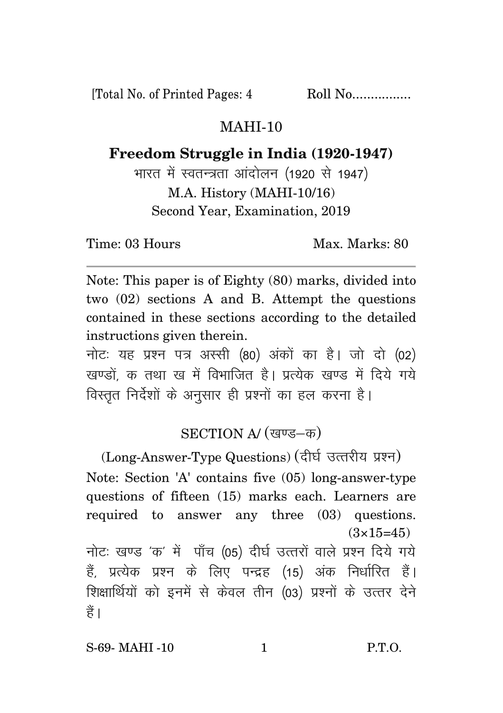[Total No. of Printed Pages: 4 Roll No.................

## MAHI-10

**Freedom Struggle in India (1920-1947)**

भारत में स्वतन्त्रता आंदोलन (1920 से 1947) M.A. History (MAHI-10/16) Second Year, Examination, 2019

Time: 03 Hours Max. Max. Marks: 80

Note: This paper is of Eighty (80) marks, divided into two (02) sections A and B. Attempt the questions contained in these sections according to the detailed instructions given therein.

नोट: यह प्रश्न पत्र अस्सी (80) अंकों का है। जो दो (02) खण्डों क तथा ख में विभाजित है। प्रत्येक खण्ड में दिये गये विस्तृत निर्देशों के अनुसार ही प्रश्नों का हल करना है।

## SECTION A/ (खण्ड-क)

(Long-Answer-Type Questions) (दीर्घ उत्तरीय प्रश्न) Note: Section 'A' contains five (05) long-answer-type questions of fifteen (15) marks each. Learners are required to answer any three (03) questions.  $(3\times15=45)$ नोटः खण्ड 'क' में पाँच (05) दीर्घ उत्तरों वाले प्रश्न दिये गये हैं, प्रत्येक प्रश्न के लिए पन्द्रह (15) अंक निर्धारित हैं। शिक्षार्थियों को इनमें से केवल तीन (03) प्रश्नों के उत्तर देने हैं ।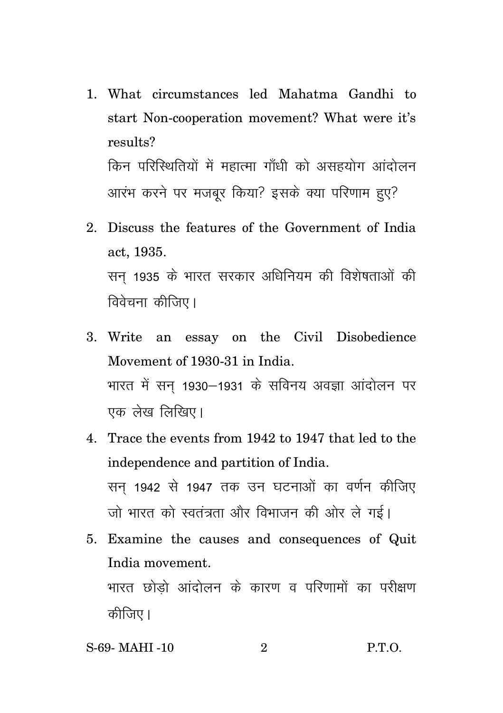- 1. What circumstances led Mahatma Gandhi to start Non-cooperation movement? What were it's results? किन परिस्थितियों में महात्मा गाँधी को असहयोग आंदोलन आरंभ करने पर मजबर किया? इसके क्या परिणाम हुए?
- 2. Discuss the features of the Government of India act, 1935. सन 1935 के भारत सरकार अधिनियम की विशेषताओं की विवेचना कीजिए।
- 3. Write an essay on the Civil Disobedience Movement of 1930-31 in India. भारत में सन 1930–1931 के सविनय अवज्ञा आंदोलन पर एक लेख लिखिए।
- 4. Trace the events from 1942 to 1947 that led to the independence and partition of India. सन 1942 से 1947 तक उन घटनाओं का वर्णन कीजिए जो भारत को स्वतंत्रता और विभाजन की ओर ले गई।
- 5. Examine the causes and consequences of Quit India movement. भारत छोडो आंदोलन के कारण व परिणामों का परीक्षण कीजिए।
- S-69- MAHI -10 2 P.T.O.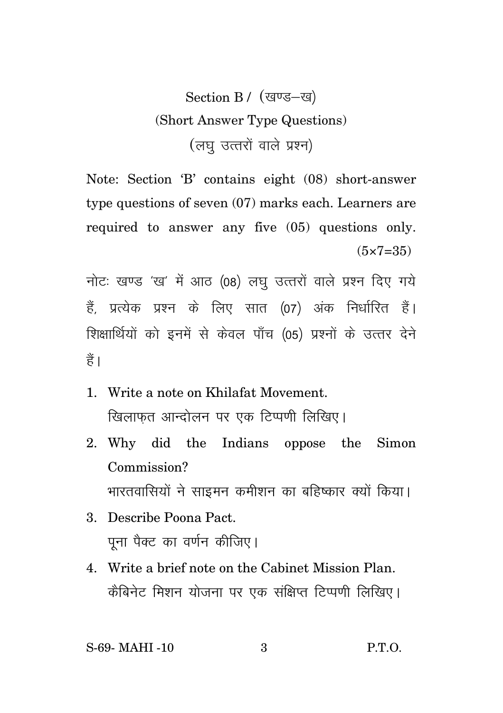## Section B / (खण्ड-ख) (Short Answer Type Questions) (लघु उत्तरों वाले प्रश्न)

Note: Section 'B' contains eight (08) short-answer type questions of seven (07) marks each. Learners are required to answer any five (05) questions only.  $(5 \times 7 = 35)$ 

नोटः खण्ड 'ख' में आठ (08) लघु उत्तरों वाले प्रश्न दिए गये हैं. प्रत्येक प्रश्न के लिए सात (07) अंक निर्धारित हैं। शिक्षार्थियों को इनमें से केवल पाँच (05) प्रश्नों के उत्तर देने  $\frac{4}{5}$ 

- 1. Write a note on Khilafat Movement. खिलाफत आन्दोलन पर एक टिप्पणी लिखिए।
- 2. Why did the Indians oppose the Simon Commission? भारतवासियों ने साइमन कमीशन का बहिष्कार क्यों किया।
- 3. Describe Poona Pact. पना पैक्ट का वर्णन कीजिए।
- 4. Write a brief note on the Cabinet Mission Plan. कैबिनेट मिशन योजना पर एक संक्षिप्त टिप्पणी लिखिए।